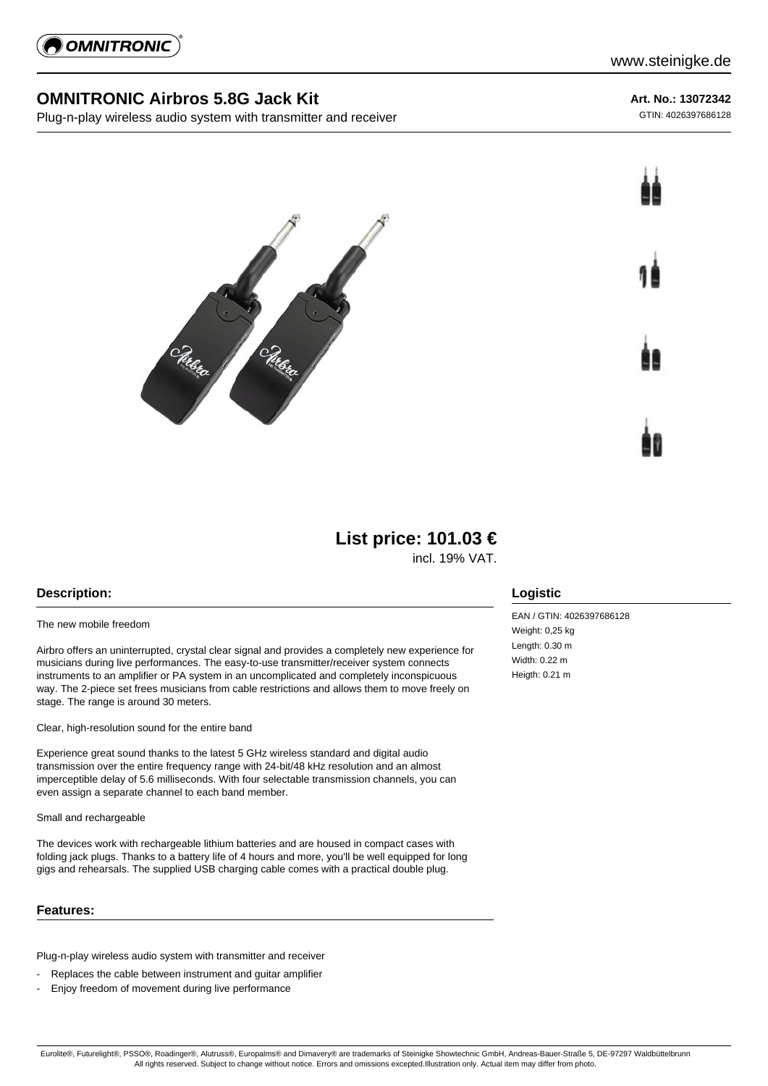

## **OMNITRONIC Airbros 5.8G Jack Kit**

Plug-n-play wireless audio system with transmitter and receiver

**Art. No.: 13072342**

GTIN: 4026397686128





# **List price: 101.03 €**

incl. 19% VAT.

## **Description:**

#### The new mobile freedom

Airbro offers an uninterrupted, crystal clear signal and provides a completely new experience for musicians during live performances. The easy-to-use transmitter/receiver system connects instruments to an amplifier or PA system in an uncomplicated and completely inconspicuous way. The 2-piece set frees musicians from cable restrictions and allows them to move freely on stage. The range is around 30 meters.

Clear, high-resolution sound for the entire band

Experience great sound thanks to the latest 5 GHz wireless standard and digital audio transmission over the entire frequency range with 24-bit/48 kHz resolution and an almost imperceptible delay of 5.6 milliseconds. With four selectable transmission channels, you can even assign a separate channel to each band member.

Small and rechargeable

The devices work with rechargeable lithium batteries and are housed in compact cases with folding jack plugs. Thanks to a battery life of 4 hours and more, you'll be well equipped for long gigs and rehearsals. The supplied USB charging cable comes with a practical double plug.

#### **Features:**

Plug-n-play wireless audio system with transmitter and receiver

- Replaces the cable between instrument and guitar amplifier
- Enjoy freedom of movement during live performance

## **Logistic**

EAN / GTIN: 4026397686128 Weight: 0.25 kg Length: 0.30 m Width: 0.22 m Heigth: 0.21 m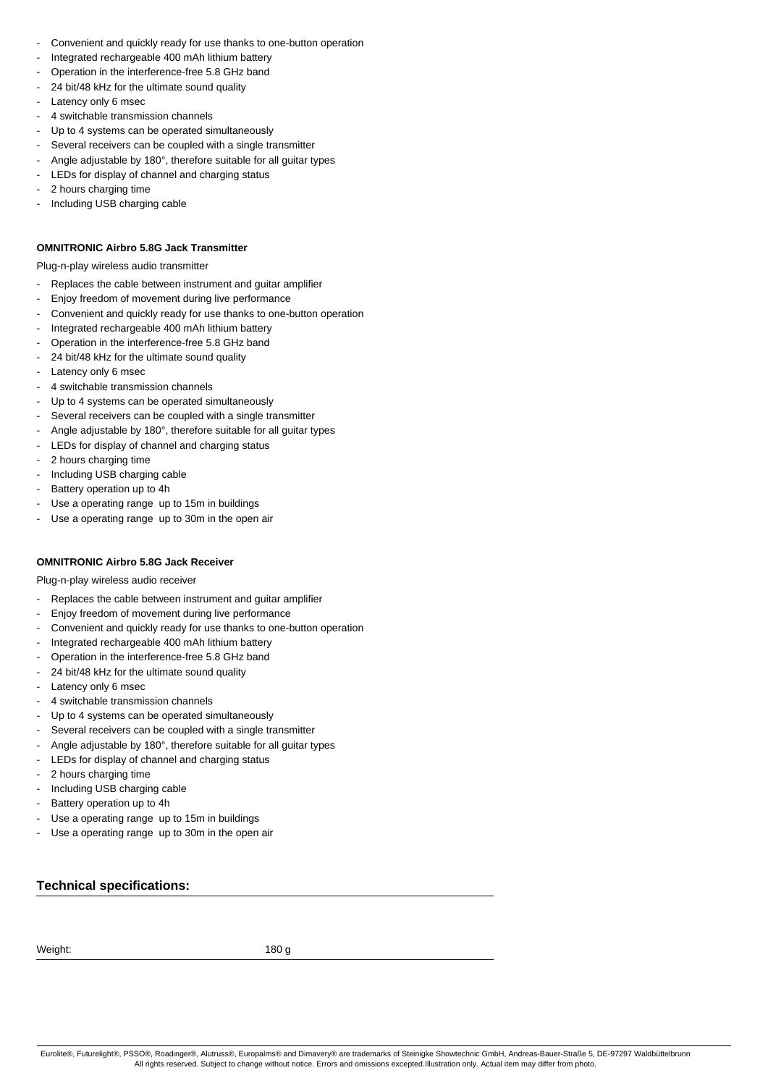- Convenient and quickly ready for use thanks to one-button operation
- Integrated rechargeable 400 mAh lithium battery
- Operation in the interference-free 5.8 GHz band
- 24 bit/48 kHz for the ultimate sound quality
- Latency only 6 msec
- 4 switchable transmission channels
- Up to 4 systems can be operated simultaneously
- Several receivers can be coupled with a single transmitter
- Angle adjustable by 180°, therefore suitable for all guitar types
- LEDs for display of channel and charging status
- 2 hours charging time
- Including USB charging cable

#### **OMNITRONIC Airbro 5.8G Jack Transmitter**

Plug-n-play wireless audio transmitter

- Replaces the cable between instrument and guitar amplifier
- Enjoy freedom of movement during live performance
- Convenient and quickly ready for use thanks to one-button operation
- Integrated rechargeable 400 mAh lithium battery
- Operation in the interference-free 5.8 GHz band
- 24 bit/48 kHz for the ultimate sound quality
- Latency only 6 msec
- 4 switchable transmission channels
- Up to 4 systems can be operated simultaneously
- Several receivers can be coupled with a single transmitter
- Angle adjustable by 180°, therefore suitable for all guitar types
- LEDs for display of channel and charging status
- 2 hours charging time
- Including USB charging cable
- Battery operation up to 4h
- Use a operating range up to 15m in buildings
- Use a operating range up to 30m in the open air

## **OMNITRONIC Airbro 5.8G Jack Receiver**

Plug-n-play wireless audio receiver

- Replaces the cable between instrument and guitar amplifier
- Enjoy freedom of movement during live performance
- Convenient and quickly ready for use thanks to one-button operation
- Integrated rechargeable 400 mAh lithium battery
- Operation in the interference-free 5.8 GHz band
- 24 bit/48 kHz for the ultimate sound quality
- Latency only 6 msec
- 4 switchable transmission channels
- Up to 4 systems can be operated simultaneously
- Several receivers can be coupled with a single transmitter
- Angle adjustable by 180°, therefore suitable for all guitar types
- LEDs for display of channel and charging status
- 2 hours charging time
- Including USB charging cable
- Battery operation up to 4h
- Use a operating range up to 15m in buildings
- Use a operating range up to 30m in the open air

## **Technical specifications:**

Weight: 180 g